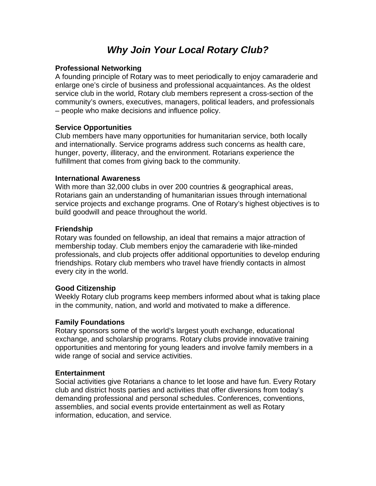# *Why Join Your Local Rotary Club?*

## **Professional Networking**

A founding principle of Rotary was to meet periodically to enjoy camaraderie and enlarge one's circle of business and professional acquaintances. As the oldest service club in the world, Rotary club members represent a cross-section of the community's owners, executives, managers, political leaders, and professionals – people who make decisions and influence policy.

## **Service Opportunities**

Club members have many opportunities for humanitarian service, both locally and internationally. Service programs address such concerns as health care, hunger, poverty, illiteracy, and the environment. Rotarians experience the fulfillment that comes from giving back to the community.

#### **International Awareness**

With more than 32,000 clubs in over 200 countries & geographical areas, Rotarians gain an understanding of humanitarian issues through international service projects and exchange programs. One of Rotary's highest objectives is to build goodwill and peace throughout the world.

#### **Friendship**

Rotary was founded on fellowship, an ideal that remains a major attraction of membership today. Club members enjoy the camaraderie with like-minded professionals, and club projects offer additional opportunities to develop enduring friendships. Rotary club members who travel have friendly contacts in almost every city in the world.

#### **Good Citizenship**

Weekly Rotary club programs keep members informed about what is taking place in the community, nation, and world and motivated to make a difference.

#### **Family Foundations**

Rotary sponsors some of the world's largest youth exchange, educational exchange, and scholarship programs. Rotary clubs provide innovative training opportunities and mentoring for young leaders and involve family members in a wide range of social and service activities.

#### **Entertainment**

Social activities give Rotarians a chance to let loose and have fun. Every Rotary club and district hosts parties and activities that offer diversions from today's demanding professional and personal schedules. Conferences, conventions, assemblies, and social events provide entertainment as well as Rotary information, education, and service.